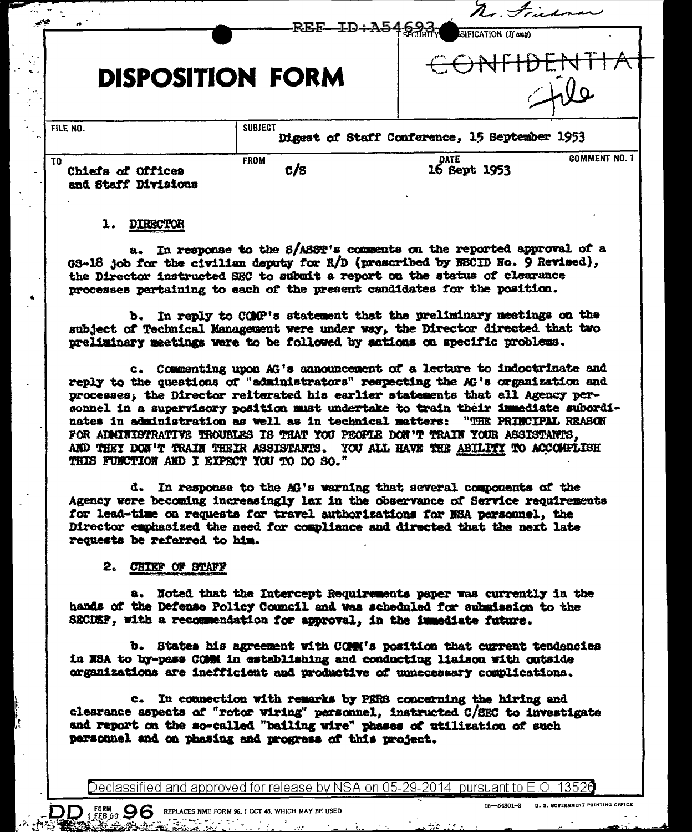| $\sim$                                          | REF-ID+A546937          | $\overline{\phantom{a}}$<br>SIFICATION (If any) |                      |
|-------------------------------------------------|-------------------------|-------------------------------------------------|----------------------|
|                                                 | <b>DISPOSITION FORM</b> |                                                 |                      |
| FILE NO.                                        | <b>SUBJECT</b>          | Digest of Staff Conference, 15 September 1953   |                      |
| TO.<br>Chiefa of Offices<br>and Staff Divisions | <b>FROM</b><br>c/s      | DATE<br>16 Sept 1953                            | <b>COMMENT NO. 1</b> |

## 1. DIRECTOR

In response to the S/ASST's comments on the reported approval of a  $a_{-}$ GS-18 job for the civilian deputy for R/D (prescribed by ESCID No. 9 Revised), the Director instructed SEC to submit a report on the status of clearance processes pertaining to each of the present candidates for the position.

b. In reply to COMP's statement that the preliminary meetings on the subject of Technical Management were under way, the Director directed that two preliminary meetings were to be followed by actions on specific problems.

c. Commenting upon AG's announcement of a lecture to indoctrinate and reply to the questions of "administrators" respecting the AG's organization and processes, the Director reiterated his earlier statements that all Agency personnel in a supervisory position must undertake to train their inmediate subordinates in administration as well as in technical matters: "THE PRINCIPAL REASON FOR ADMINISTRATIVE TROUBLES IS THAT YOU PEOPLE DON'T TRAIN YOUR ASSISTANTS. AND THEY DON'T TRAIN THEIR ASSISTANTS. YOU ALL HAVE THE ABILITY TO ACCOMPLISH THIS FUNCTION AND I EXPECT YOU TO DO SO."

d. In response to the AG's warning that several components of the Agency were becoming increasingly lax in the observance of Service requirements for lead-time on requests for travel authorizations for NSA personnel, the Director emphasized the need for compliance and directed that the next late requests be referred to him.

## 2. CHIEF OF STAFF

 $\text{DD}_{1}$  form  $\text{96}$  replaces nme form \$6, 1 oct 48, which may be used

a. Noted that the Intercept Requirements paper was currently in the hands of the Defense Policy Council and was scheduled for submission to the SECDEF, with a recommendation for approval, in the immediate future.

b. States his agreement with COMM's position that current tendencies in NSA to by-pass COMM in establishing and conducting liaison with outside organizations are inefficient and productive of unnecessary complications.

c. In connection with remarks by PERS concerning the hiring and clearance aspects of "rotor wiring" personnel, instructed C/SEC to investigate and report on the so-called "bailing wire" phases of utilization of such personnel and on phasing and progress of this project.

Declassified and approved for release by NSA on 05-29-2014 pursuant to E.O. 13526

 $\mathcal{L}$ .

⋊